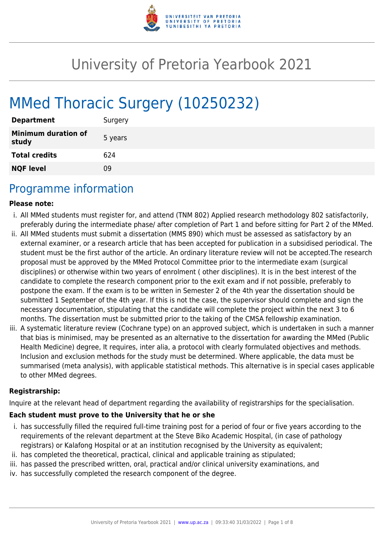

# University of Pretoria Yearbook 2021

# MMed Thoracic Surgery (10250232)

| <b>Department</b>                   | Surgery |
|-------------------------------------|---------|
| <b>Minimum duration of</b><br>study | 5 years |
| <b>Total credits</b>                | 624     |
| <b>NQF level</b>                    | 09      |

## Programme information

#### **Please note:**

- i. All MMed students must register for, and attend (TNM 802) Applied research methodology 802 satisfactorily, preferably during the intermediate phase/ after completion of Part 1 and before sitting for Part 2 of the MMed.
- ii. All MMed students must submit a dissertation (MMS 890) which must be assessed as satisfactory by an external examiner, or a research article that has been accepted for publication in a subsidised periodical. The student must be the first author of the article. An ordinary literature review will not be accepted.The research proposal must be approved by the MMed Protocol Committee prior to the intermediate exam (surgical disciplines) or otherwise within two years of enrolment ( other disciplines). It is in the best interest of the candidate to complete the research component prior to the exit exam and if not possible, preferably to postpone the exam. If the exam is to be written in Semester 2 of the 4th year the dissertation should be submitted 1 September of the 4th year. If this is not the case, the supervisor should complete and sign the necessary documentation, stipulating that the candidate will complete the project within the next 3 to 6 months. The dissertation must be submitted prior to the taking of the CMSA fellowship examination.
- iii. A systematic literature review (Cochrane type) on an approved subject, which is undertaken in such a manner that bias is minimised, may be presented as an alternative to the dissertation for awarding the MMed (Public Health Medicine) degree, It requires, inter alia, a protocol with clearly formulated objectives and methods. Inclusion and exclusion methods for the study must be determined. Where applicable, the data must be summarised (meta analysis), with applicable statistical methods. This alternative is in special cases applicable to other MMed degrees.

#### **Registrarship:**

Inquire at the relevant head of department regarding the availability of registrarships for the specialisation.

#### **Each student must prove to the University that he or she**

- i. has successfully filled the required full-time training post for a period of four or five years according to the requirements of the relevant department at the Steve Biko Academic Hospital, (in case of pathology registrars) or Kalafong Hospital or at an institution recognised by the University as equivalent;
- ii. has completed the theoretical, practical, clinical and applicable training as stipulated;
- iii. has passed the prescribed written, oral, practical and/or clinical university examinations, and
- iv. has successfully completed the research component of the degree.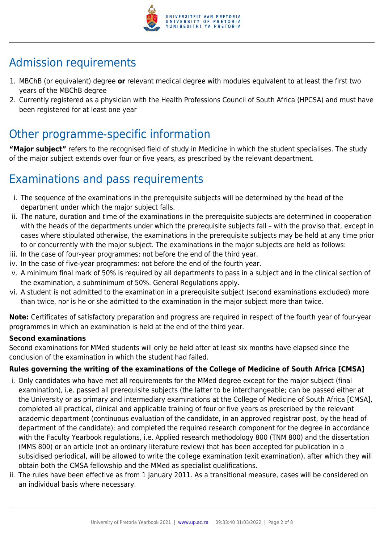

# Admission requirements

- 1. MBChB (or equivalent) degree **or** relevant medical degree with modules equivalent to at least the first two years of the MBChB degree
- 2. Currently registered as a physician with the Health Professions Council of South Africa (HPCSA) and must have been registered for at least one year

# Other programme-specific information

**"Major subject"** refers to the recognised field of study in Medicine in which the student specialises. The study of the major subject extends over four or five years, as prescribed by the relevant department.

# Examinations and pass requirements

- i. The sequence of the examinations in the prerequisite subjects will be determined by the head of the department under which the major subject falls.
- ii. The nature, duration and time of the examinations in the prerequisite subjects are determined in cooperation with the heads of the departments under which the prerequisite subjects fall – with the proviso that, except in cases where stipulated otherwise, the examinations in the prerequisite subjects may be held at any time prior to or concurrently with the major subject. The examinations in the major subjects are held as follows:
- iii. In the case of four-year programmes: not before the end of the third year.
- iv. In the case of five-year programmes: not before the end of the fourth year.
- v. A minimum final mark of 50% is required by all departments to pass in a subject and in the clinical section of the examination, a subminimum of 50%. General Regulations apply.
- vi. A student is not admitted to the examination in a prerequisite subject (second examinations excluded) more than twice, nor is he or she admitted to the examination in the major subject more than twice.

**Note:** Certificates of satisfactory preparation and progress are required in respect of the fourth year of four-year programmes in which an examination is held at the end of the third year.

#### **Second examinations**

Second examinations for MMed students will only be held after at least six months have elapsed since the conclusion of the examination in which the student had failed.

#### **Rules governing the writing of the examinations of the College of Medicine of South Africa [CMSA]**

- i. Only candidates who have met all requirements for the MMed degree except for the major subject (final examination), i.e. passed all prerequisite subjects (the latter to be interchangeable; can be passed either at the University or as primary and intermediary examinations at the College of Medicine of South Africa [CMSA], completed all practical, clinical and applicable training of four or five years as prescribed by the relevant academic department (continuous evaluation of the candidate, in an approved registrar post, by the head of department of the candidate); and completed the required research component for the degree in accordance with the Faculty Yearbook regulations, i.e. Applied research methodology 800 (TNM 800) and the dissertation (MMS 800) or an article (not an ordinary literature review) that has been accepted for publication in a subsidised periodical, will be allowed to write the college examination (exit examination), after which they will obtain both the CMSA fellowship and the MMed as specialist qualifications.
- ii. The rules have been effective as from 1 January 2011. As a transitional measure, cases will be considered on an individual basis where necessary.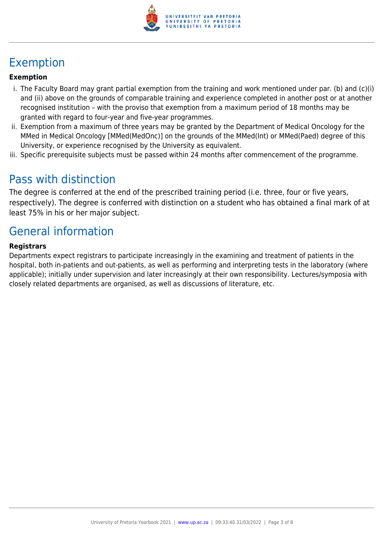

# Exemption

#### **Exemption**

- i. The Faculty Board may grant partial exemption from the training and work mentioned under par. (b) and (c)(i) and (ii) above on the grounds of comparable training and experience completed in another post or at another recognised institution – with the proviso that exemption from a maximum period of 18 months may be granted with regard to four-year and five-year programmes.
- ii. Exemption from a maximum of three years may be granted by the Department of Medical Oncology for the MMed in Medical Oncology [MMed(MedOnc)] on the grounds of the MMed(Int) or MMed(Paed) degree of this University, or experience recognised by the University as equivalent.
- iii. Specific prerequisite subjects must be passed within 24 months after commencement of the programme.

### Pass with distinction

The degree is conferred at the end of the prescribed training period (i.e. three, four or five years, respectively). The degree is conferred with distinction on a student who has obtained a final mark of at least 75% in his or her major subject.

# General information

#### **Registrars**

Departments expect registrars to participate increasingly in the examining and treatment of patients in the hospital, both in-patients and out-patients, as well as performing and interpreting tests in the laboratory (where applicable); initially under supervision and later increasingly at their own responsibility. Lectures/symposia with closely related departments are organised, as well as discussions of literature, etc.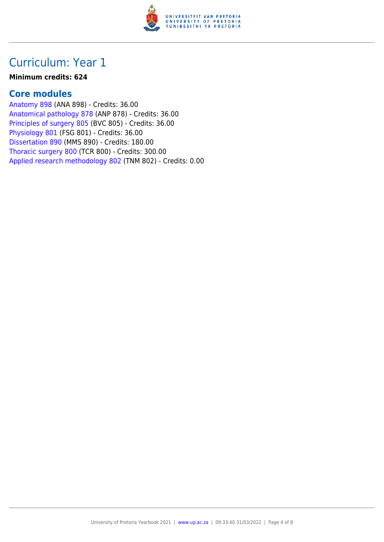

#### **Minimum credits: 624**

#### **Core modules**

[Anatomy 898](https://www.up.ac.za/faculty-of-education/yearbooks/2021/modules/view/ANA 898) (ANA 898) - Credits: 36.00 [Anatomical pathology 878](https://www.up.ac.za/faculty-of-education/yearbooks/2021/modules/view/ANP 878) (ANP 878) - Credits: 36.00 [Principles of surgery 805](https://www.up.ac.za/faculty-of-education/yearbooks/2021/modules/view/BVC 805) (BVC 805) - Credits: 36.00 [Physiology 801](https://www.up.ac.za/faculty-of-education/yearbooks/2021/modules/view/FSG 801) (FSG 801) - Credits: 36.00 [Dissertation 890](https://www.up.ac.za/faculty-of-education/yearbooks/2021/modules/view/MMS 890) (MMS 890) - Credits: 180.00 [Thoracic surgery 800](https://www.up.ac.za/faculty-of-education/yearbooks/2021/modules/view/TCR 800) (TCR 800) - Credits: 300.00 [Applied research methodology 802](https://www.up.ac.za/faculty-of-education/yearbooks/2021/modules/view/TNM 802) (TNM 802) - Credits: 0.00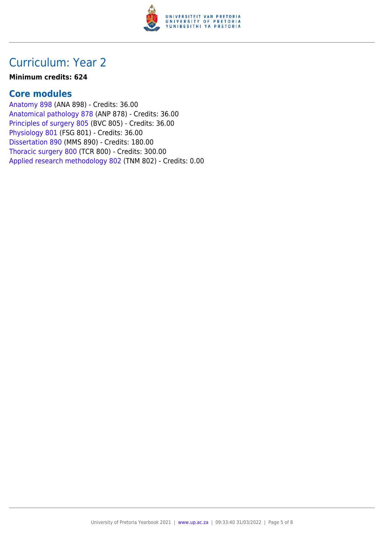

#### **Minimum credits: 624**

#### **Core modules**

[Anatomy 898](https://www.up.ac.za/faculty-of-education/yearbooks/2021/modules/view/ANA 898) (ANA 898) - Credits: 36.00 [Anatomical pathology 878](https://www.up.ac.za/faculty-of-education/yearbooks/2021/modules/view/ANP 878) (ANP 878) - Credits: 36.00 [Principles of surgery 805](https://www.up.ac.za/faculty-of-education/yearbooks/2021/modules/view/BVC 805) (BVC 805) - Credits: 36.00 [Physiology 801](https://www.up.ac.za/faculty-of-education/yearbooks/2021/modules/view/FSG 801) (FSG 801) - Credits: 36.00 [Dissertation 890](https://www.up.ac.za/faculty-of-education/yearbooks/2021/modules/view/MMS 890) (MMS 890) - Credits: 180.00 [Thoracic surgery 800](https://www.up.ac.za/faculty-of-education/yearbooks/2021/modules/view/TCR 800) (TCR 800) - Credits: 300.00 [Applied research methodology 802](https://www.up.ac.za/faculty-of-education/yearbooks/2021/modules/view/TNM 802) (TNM 802) - Credits: 0.00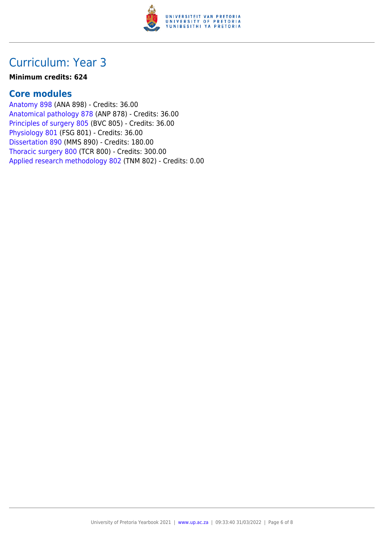

#### **Minimum credits: 624**

#### **Core modules**

[Anatomy 898](https://www.up.ac.za/faculty-of-education/yearbooks/2021/modules/view/ANA 898) (ANA 898) - Credits: 36.00 [Anatomical pathology 878](https://www.up.ac.za/faculty-of-education/yearbooks/2021/modules/view/ANP 878) (ANP 878) - Credits: 36.00 [Principles of surgery 805](https://www.up.ac.za/faculty-of-education/yearbooks/2021/modules/view/BVC 805) (BVC 805) - Credits: 36.00 [Physiology 801](https://www.up.ac.za/faculty-of-education/yearbooks/2021/modules/view/FSG 801) (FSG 801) - Credits: 36.00 [Dissertation 890](https://www.up.ac.za/faculty-of-education/yearbooks/2021/modules/view/MMS 890) (MMS 890) - Credits: 180.00 [Thoracic surgery 800](https://www.up.ac.za/faculty-of-education/yearbooks/2021/modules/view/TCR 800) (TCR 800) - Credits: 300.00 [Applied research methodology 802](https://www.up.ac.za/faculty-of-education/yearbooks/2021/modules/view/TNM 802) (TNM 802) - Credits: 0.00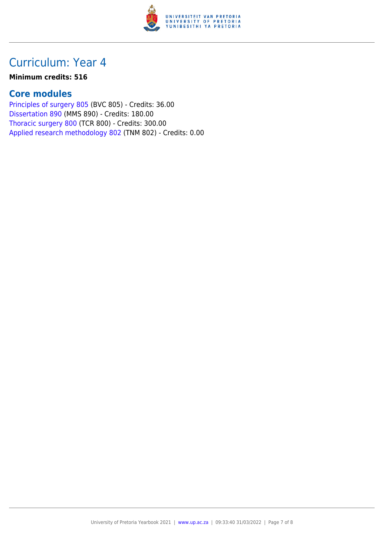

#### **Minimum credits: 516**

#### **Core modules**

[Principles of surgery 805](https://www.up.ac.za/faculty-of-education/yearbooks/2021/modules/view/BVC 805) (BVC 805) - Credits: 36.00 [Dissertation 890](https://www.up.ac.za/faculty-of-education/yearbooks/2021/modules/view/MMS 890) (MMS 890) - Credits: 180.00 [Thoracic surgery 800](https://www.up.ac.za/faculty-of-education/yearbooks/2021/modules/view/TCR 800) (TCR 800) - Credits: 300.00 [Applied research methodology 802](https://www.up.ac.za/faculty-of-education/yearbooks/2021/modules/view/TNM 802) (TNM 802) - Credits: 0.00